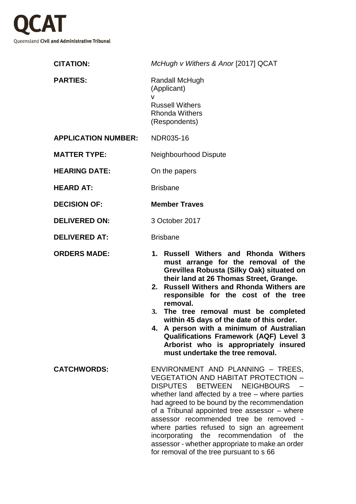

| <b>CITATION:</b>           | McHugh v Withers & Anor [2017] QCAT                                                                                                                                                                                                                                                                                                                                                                                                                                                                                                      |
|----------------------------|------------------------------------------------------------------------------------------------------------------------------------------------------------------------------------------------------------------------------------------------------------------------------------------------------------------------------------------------------------------------------------------------------------------------------------------------------------------------------------------------------------------------------------------|
| <b>PARTIES:</b>            | Randall McHugh<br>(Applicant)                                                                                                                                                                                                                                                                                                                                                                                                                                                                                                            |
|                            | v<br><b>Russell Withers</b><br><b>Rhonda Withers</b><br>(Respondents)                                                                                                                                                                                                                                                                                                                                                                                                                                                                    |
| <b>APPLICATION NUMBER:</b> | NDR035-16                                                                                                                                                                                                                                                                                                                                                                                                                                                                                                                                |
| <b>MATTER TYPE:</b>        | Neighbourhood Dispute                                                                                                                                                                                                                                                                                                                                                                                                                                                                                                                    |
| <b>HEARING DATE:</b>       | On the papers                                                                                                                                                                                                                                                                                                                                                                                                                                                                                                                            |
| <b>HEARD AT:</b>           | <b>Brisbane</b>                                                                                                                                                                                                                                                                                                                                                                                                                                                                                                                          |
| <b>DECISION OF:</b>        | <b>Member Traves</b>                                                                                                                                                                                                                                                                                                                                                                                                                                                                                                                     |
| <b>DELIVERED ON:</b>       | 3 October 2017                                                                                                                                                                                                                                                                                                                                                                                                                                                                                                                           |
| <b>DELIVERED AT:</b>       | <b>Brisbane</b>                                                                                                                                                                                                                                                                                                                                                                                                                                                                                                                          |
| <b>ORDERS MADE:</b>        | 1. Russell Withers and Rhonda Withers<br>must arrange for the removal of the<br>Grevillea Robusta (Silky Oak) situated on<br>their land at 26 Thomas Street, Grange.<br>2. Russell Withers and Rhonda Withers are<br>responsible for the cost of the tree<br>removal.<br>The tree removal must be completed<br>3.<br>within 45 days of the date of this order.<br>4. A person with a minimum of Australian<br><b>Qualifications Framework (AQF) Level 3</b><br>Arborist who is appropriately insured<br>must undertake the tree removal. |
| <b>CATCHWORDS:</b>         | ENVIRONMENT AND PLANNING - TREES,<br><b>VEGETATION AND HABITAT PROTECTION -</b><br>DISPUTES BETWEEN<br><b>NEIGHBOURS</b><br>whether land affected by a tree – where parties<br>had agreed to be bound by the recommendation<br>of a Tribunal appointed tree assessor - where<br>assessor recommended tree be removed -<br>where parties refused to sign an agreement<br>incorporating the recommendation of the<br>assessor - whether appropriate to make an order<br>for removal of the tree pursuant to s 66                           |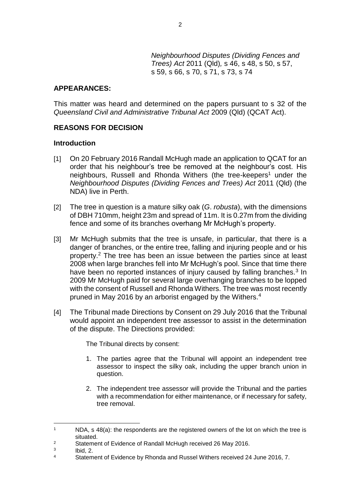*Neighbourhood Disputes (Dividing Fences and Trees) Act* 2011 (Qld)*,* s 46, s 48, s 50, s 57, s 59, s 66, s 70, s 71, s 73, s 74

### **APPEARANCES:**

This matter was heard and determined on the papers pursuant to s 32 of the *Queensland Civil and Administrative Tribunal Act* 2009 (Qld) (QCAT Act).

## **REASONS FOR DECISION**

#### **Introduction**

- [1] On 20 February 2016 Randall McHugh made an application to QCAT for an order that his neighbour's tree be removed at the neighbour's cost. His neighbours, Russell and Rhonda Withers (the tree-keepers<sup>1</sup> under the *Neighbourhood Disputes (Dividing Fences and Trees) Act* 2011 (Qld) (the NDA) live in Perth.
- [2] The tree in question is a mature silky oak (*G*. *robusta*), with the dimensions of DBH 710mm, height 23m and spread of 11m. It is 0.27m from the dividing fence and some of its branches overhang Mr McHugh's property.
- [3] Mr McHugh submits that the tree is unsafe, in particular, that there is a danger of branches, or the entire tree, falling and injuring people and or his property.<sup>2</sup> The tree has been an issue between the parties since at least 2008 when large branches fell into Mr McHugh's pool. Since that time there have been no reported instances of injury caused by falling branches.<sup>3</sup> In 2009 Mr McHugh paid for several large overhanging branches to be lopped with the consent of Russell and Rhonda Withers. The tree was most recently pruned in May 2016 by an arborist engaged by the Withers.<sup>4</sup>
- [4] The Tribunal made Directions by Consent on 29 July 2016 that the Tribunal would appoint an independent tree assessor to assist in the determination of the dispute. The Directions provided:

The Tribunal directs by consent:

- 1. The parties agree that the Tribunal will appoint an independent tree assessor to inspect the silky oak, including the upper branch union in question.
- 2. The independent tree assessor will provide the Tribunal and the parties with a recommendation for either maintenance, or if necessary for safety, tree removal.

 $1$  NDA, s 48(a): the respondents are the registered owners of the lot on which the tree is situated.

<sup>&</sup>lt;sup>2</sup> Statement of Evidence of Randall McHugh received 26 May 2016.

<sup>3</sup> Ibid, 2.

<sup>4</sup> Statement of Evidence by Rhonda and Russel Withers received 24 June 2016, 7.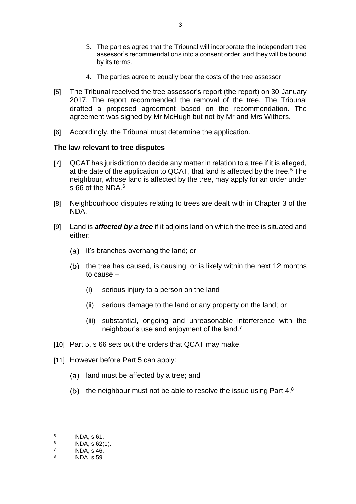- 3. The parties agree that the Tribunal will incorporate the independent tree assessor's recommendations into a consent order, and they will be bound by its terms.
- 4. The parties agree to equally bear the costs of the tree assessor.

3

- [5] The Tribunal received the tree assessor's report (the report) on 30 January 2017. The report recommended the removal of the tree. The Tribunal drafted a proposed agreement based on the recommendation. The agreement was signed by Mr McHugh but not by Mr and Mrs Withers.
- [6] Accordingly, the Tribunal must determine the application.

### **The law relevant to tree disputes**

- [7] QCAT has jurisdiction to decide any matter in relation to a tree if it is alleged, at the date of the application to QCAT, that land is affected by the tree.<sup>5</sup> The neighbour, whose land is affected by the tree, may apply for an order under s 66 of the NDA.<sup>6</sup>
- [8] Neighbourhood disputes relating to trees are dealt with in Chapter 3 of the NDA.
- [9] Land is *affected by a tree* if it adjoins land on which the tree is situated and either:
	- (a) it's branches overhang the land; or
	- $(b)$  the tree has caused, is causing, or is likely within the next 12 months to cause –
		- (i) serious injury to a person on the land
		- (ii) serious damage to the land or any property on the land; or
		- (iii) substantial, ongoing and unreasonable interference with the neighbour's use and enjoyment of the land.<sup>7</sup>
- [10] Part 5, s 66 sets out the orders that QCAT may make.
- [11] However before Part 5 can apply:
	- (a) land must be affected by a tree; and
	- (b) the neighbour must not be able to resolve the issue using Part  $4.8$

 $5$  NDA, s 61.

 $\frac{6}{7}$  NDA, s 62(1).

 $^{7}$  NDA, s 46.

<sup>8</sup> NDA, s 59.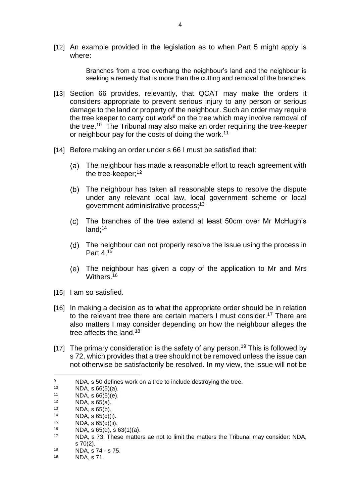[12] An example provided in the legislation as to when Part 5 might apply is where:

> Branches from a tree overhang the neighbour's land and the neighbour is seeking a remedy that is more than the cutting and removal of the branches.

- [13] Section 66 provides, relevantly, that QCAT may make the orders it considers appropriate to prevent serious injury to any person or serious damage to the land or property of the neighbour. Such an order may require the tree keeper to carry out work<sup>9</sup> on the tree which may involve removal of the tree.<sup>10</sup> The Tribunal may also make an order requiring the tree-keeper or neighbour pay for the costs of doing the work.<sup>11</sup>
- [14] Before making an order under s 66 I must be satisfied that:
	- The neighbour has made a reasonable effort to reach agreement with the tree-keeper;<sup>12</sup>
	- The neighbour has taken all reasonable steps to resolve the dispute under any relevant local law, local government scheme or local government administrative process;<sup>13</sup>
	- The branches of the tree extend at least 50cm over Mr McHugh's land:<sup>14</sup>
	- The neighbour can not properly resolve the issue using the process in Part 4;<sup>15</sup>
	- The neighbour has given a copy of the application to Mr and Mrs Withers.<sup>16</sup>
- [15] I am so satisfied.
- [16] In making a decision as to what the appropriate order should be in relation to the relevant tree there are certain matters I must consider.<sup>17</sup> There are also matters I may consider depending on how the neighbour alleges the tree affects the land.<sup>18</sup>
- [17] The primary consideration is the safety of any person.<sup>19</sup> This is followed by s 72, which provides that a tree should not be removed unless the issue can not otherwise be satisfactorily be resolved. In my view, the issue will not be

<sup>9</sup> NDA, s 50 defines work on a tree to include destroying the tree.

 $10$  NDA, s 66(5)(a).

<sup>11</sup> NDA, s  $66(5)(e)$ .<br>
12 NDA s  $65(5)$ .

<sup>&</sup>lt;sup>12</sup> NDA, s  $65(a)$ .<br><sup>13</sup> NDA s  $65(b)$ 

<sup>&</sup>lt;sup>13</sup> NDA, s 65(b).<br><sup>14</sup> NDA s 65(s)(

<sup>&</sup>lt;sup>14</sup> NDA, s  $65(c)(i)$ .<br><sup>15</sup> NDA s  $65(c)(ii)$ 

<sup>&</sup>lt;sup>15</sup> NDA, s  $65(c)(ii)$ .<br><sup>16</sup> NDA s  $65(d)$  S i

<sup>&</sup>lt;sup>16</sup> NDA, s 65(d), s 63(1)(a).<br><sup>17</sup> NDA s 73 These matter

NDA, s 73. These matters ae not to limit the matters the Tribunal may consider: NDA, s 70(2).

<sup>&</sup>lt;sup>18</sup> NDA,  $\frac{18}{19}$  NDA,  $\frac{19}{19}$  NDA,  $\frac{19}{19}$ 

<sup>19</sup> NDA, s 71.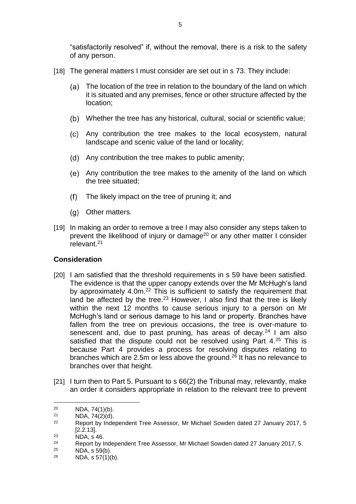"satisfactorily resolved" if, without the removal, there is a risk to the safety of any person.

- [18] The general matters I must consider are set out in s 73. They include:
	- The location of the tree in relation to the boundary of the land on which it is situated and any premises, fence or other structure affected by the location;
	- Whether the tree has any historical, cultural, social or scientific value;
	- Any contribution the tree makes to the local ecosystem, natural landscape and scenic value of the land or locality;
	- (d) Any contribution the tree makes to public amenity;
	- Any contribution the tree makes to the amenity of the land on which the tree situated;
	- $(f)$ The likely impact on the tree of pruning it; and
	- (g) Other matters.
- [19] In making an order to remove a tree I may also consider any steps taken to prevent the likelihood of injury or damage<sup>20</sup> or any other matter I consider relevant<sup>21</sup>

## **Consideration**

- [20] I am satisfied that the threshold requirements in s 59 have been satisfied. The evidence is that the upper canopy extends over the Mr McHugh's land by approximately 4.0m.<sup>22</sup> This is sufficient to satisfy the requirement that land be affected by the tree.<sup>23</sup> However, I also find that the tree is likely within the next 12 months to cause serious injury to a person on Mr McHugh's land or serious damage to his land or property. Branches have fallen from the tree on previous occasions, the tree is over-mature to senescent and, due to past pruning, has areas of decay. $24$  I am also satisfied that the dispute could not be resolved using Part 4.<sup>25</sup> This is because Part 4 provides a process for resolving disputes relating to branches which are 2.5m or less above the ground.<sup>26</sup> It has no relevance to branches over that height.
- [21] I turn then to Part 5. Pursuant to s 66(2) the Tribunal may, relevantly, make an order it considers appropriate in relation to the relevant tree to prevent

<sup>&</sup>lt;sup>20</sup> NDA, 74(1)(b).<br><sup>21</sup> NDA 74(2)(d)

<sup>&</sup>lt;sup>21</sup> NDA,  $74(2)(d)$ .<br><sup>22</sup> Benert by Inde

<sup>22</sup> Report by Independent Tree Assessor, Mr Michael Sowden dated 27 January 2017, 5 [2.2.13].

 $\overline{P}$ <sup>23</sup> NDA, s<sup>46</sup>.

<sup>24</sup> Report by Independent Tree Assessor, Mr Michael Sowden dated 27 January 2017, 5.

<sup>&</sup>lt;sup>25</sup> NDA, s 59(b).<br><sup>26</sup> NDA s 57(1)(

NDA, s 57(1)(b).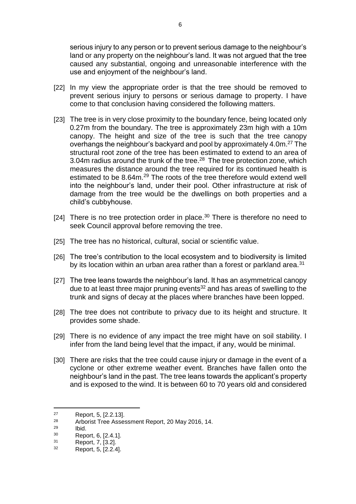serious injury to any person or to prevent serious damage to the neighbour's land or any property on the neighbour's land. It was not argued that the tree caused any substantial, ongoing and unreasonable interference with the use and enjoyment of the neighbour's land.

- [22] In my view the appropriate order is that the tree should be removed to prevent serious injury to persons or serious damage to property. I have come to that conclusion having considered the following matters.
- [23] The tree is in very close proximity to the boundary fence, being located only 0.27m from the boundary. The tree is approximately 23m high with a 10m canopy. The height and size of the tree is such that the tree canopy overhangs the neighbour's backyard and pool by approximately 4.0m.<sup>27</sup> The structural root zone of the tree has been estimated to extend to an area of 3.04 $m$  radius around the trunk of the tree.<sup>28</sup> The tree protection zone, which measures the distance around the tree required for its continued health is estimated to be 8.64m.<sup>29</sup> The roots of the tree therefore would extend well into the neighbour's land, under their pool. Other infrastructure at risk of damage from the tree would be the dwellings on both properties and a child's cubbyhouse.
- [24] There is no tree protection order in place. $30$  There is therefore no need to seek Council approval before removing the tree.
- [25] The tree has no historical, cultural, social or scientific value.
- [26] The tree's contribution to the local ecosystem and to biodiversity is limited by its location within an urban area rather than a forest or parkland area.<sup>31</sup>
- [27] The tree leans towards the neighbour's land. It has an asymmetrical canopy due to at least three major pruning events<sup>32</sup> and has areas of swelling to the trunk and signs of decay at the places where branches have been lopped.
- [28] The tree does not contribute to privacy due to its height and structure. It provides some shade.
- [29] There is no evidence of any impact the tree might have on soil stability. I infer from the land being level that the impact, if any, would be minimal.
- [30] There are risks that the tree could cause injury or damage in the event of a cyclone or other extreme weather event. Branches have fallen onto the neighbour's land in the past. The tree leans towards the applicant's property and is exposed to the wind. It is between 60 to 70 years old and considered

 $\frac{27}{28}$  Report, 5, [2.2.13].

Arborist Tree Assessment Report, 20 May 2016, 14.

 $^{29}$  Ibid.

 $\frac{30}{31}$  Report, 6, [2.4.1].

Report, 7, [3.2].

<sup>32</sup> Report, 5, [2.2.4].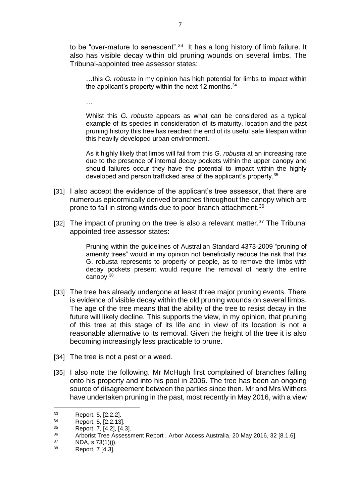to be "over-mature to senescent".<sup>33</sup> It has a long history of limb failure. It also has visible decay within old pruning wounds on several limbs. The Tribunal-appointed tree assessor states:

…this *G. robusta* in my opinion has high potential for limbs to impact within the applicant's property within the next 12 months.<sup>34</sup>

…

Whilst this *G. robusta* appears as what can be considered as a typical example of its species in consideration of its maturity, location and the past pruning history this tree has reached the end of its useful safe lifespan within this heavily developed urban environment.

As it highly likely that limbs will fail from this *G. robusta* at an increasing rate due to the presence of internal decay pockets within the upper canopy and should failures occur they have the potential to impact within the highly developed and person trafficked area of the applicant's property.<sup>35</sup>

- [31] I also accept the evidence of the applicant's tree assessor, that there are numerous epicormically derived branches throughout the canopy which are prone to fail in strong winds due to poor branch attachment.<sup>36</sup>
- [32] The impact of pruning on the tree is also a relevant matter.<sup>37</sup> The Tribunal appointed tree assessor states:

Pruning within the guidelines of Australian Standard 4373-2009 "pruning of amenity trees" would in my opinion not beneficially reduce the risk that this G. robusta represents to property or people, as to remove the limbs with decay pockets present would require the removal of nearly the entire canopy.<sup>38</sup>

- [33] The tree has already undergone at least three major pruning events. There is evidence of visible decay within the old pruning wounds on several limbs. The age of the tree means that the ability of the tree to resist decay in the future will likely decline. This supports the view, in my opinion, that pruning of this tree at this stage of its life and in view of its location is not a reasonable alternative to its removal. Given the height of the tree it is also becoming increasingly less practicable to prune.
- [34] The tree is not a pest or a weed.
- [35] I also note the following. Mr McHugh first complained of branches falling onto his property and into his pool in 2006. The tree has been an ongoing source of disagreement between the parties since then. Mr and Mrs Withers have undertaken pruning in the past, most recently in May 2016, with a view

 $\frac{33}{34}$  Report, 5, [2.2.2].

Report, 5, [2.2.13].

 $^{35}$  Report, 7, [4.2], [4.3].

<sup>&</sup>lt;sup>36</sup> Arborist Tree Assessment Report, Arbor Access Australia, 20 May 2016, 32 [8.1.6].

NDA, s 73(1)(j).

<sup>38</sup> Report, 7 [4.3].